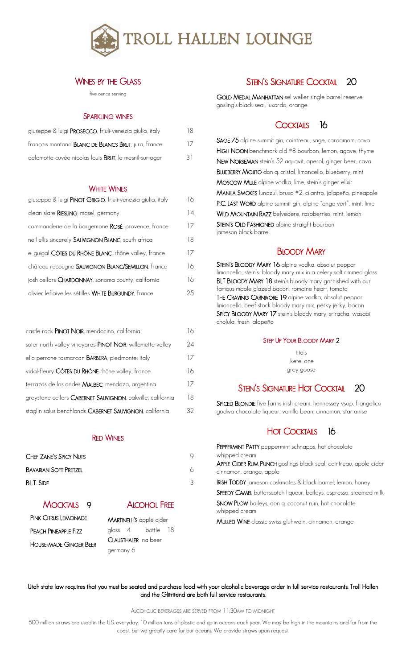

#### WINES BY THE GLASS

five ounce serving

#### SPARKLING WINES

| giuseppe & luigi PROSECCO, friuli-venezia giulia, italy     | 18 |
|-------------------------------------------------------------|----|
| françois montand <b>BLANC DE BLANCS BRUT</b> , jura, france | 17 |
| delamotte cuvée nicolas louis BRUT, le mesnil-sur-oger      | 31 |

#### **WHITE WINES**

| giuseppe & luigi PINOT GRIGIO, friuli-venezia giulia, italy | 16 |
|-------------------------------------------------------------|----|
| clean slate RIESLING, mosel, germany                        | 14 |
| commanderie de la bargemone ROSÉ, provence, france          | 17 |
| neil ellis sincerely SAUVIGNON BLANC, south africa          | 18 |
| e. guigal CÔTES DU RHÔNE BLANC, rhône valley, france        | 17 |
| château recougne SAUVIGNON BLANC/SEMILLON, france           | 16 |
| josh cellars CHARDONNAY, sonoma county, california          | 16 |
| olivier leflaive les sétilles WHITE BURGUNDY, france        | 25 |

| castle rock PINOT NOIR, mendocino, california              | 16 |
|------------------------------------------------------------|----|
| soter north valley vineyards PINOT NOIR, willamette valley | 24 |
| elio perrone tasmorcan <b>BARBERA</b> , piedmonte, italy   | 17 |
| vidal-fleury CÔTES DU RHÔNE rhône valley, france           | 16 |
| terrazas de los andes MALBEC, mendoza, argentina           | 17 |
| greystone cellars CABERNET SAUVIGNON, oakville, california | 18 |
| staglin salus benchlands CABERNET SAUVIGNON, california    | 32 |

#### RED WINES

| <b>CHEF ZANE'S SPICY NUTS</b> |  |  |
|-------------------------------|--|--|
| <b>BAVARIAN SOFT PRETZEL</b>  |  |  |
| <b>B.L.T. SIDE</b>            |  |  |

MOCKTAILS 9 PINK CITRUS LEMONADE PEACH PINEAPPLE FIZZ HOUSE-MADE GINGER BEER



MARTINELLI'S apple cider glass 4 bottle 18 CLAUSTHALER na beer germany 6

## STEIN'S SIGNATURE COCKTAIL 20

GOLD MEDAL MANHATTAN sel weller single barrel reserve gosling's black seal, luxardo, orange

### COCKTAILS 16

SAGE 75 alpine summit gin, cointreau, sage, cardamom, cava HIGH NOON benchmark old #8 bourbon, lemon, agave, thyme NEW NORSEMAN stein's 52 aquavit, aperol, ginger beer, cava BLUEBERRY MOJITO don q. cristal, limoncello, blueberry, mint MOSCOW MULE alpine vodka, lime, stein's ginger elixir MANILA SMOKES lunazul, bruxo #2, cilantro, jalapeño, pineapple P.C. LAST WORD alpine summit gin, alpine "ange vert", mint, lime WILD MOUNTAIN RAZZ belvedere, raspberries, mint, lemon STEIN'S OLD FASHIONED alpine straight bourbon jameson black barrel

## BLOODY MARY

STEIN'S BLOODY MARY 16 alpine vodka, absolut peppar limoncello, stein's bloody mary mix in a celery salt rimmed glass BLT BLOODY MARY 18 stein's bloody mary garnished with our famous maple glazed bacon, romaine heart, tomato THE CRAVING CARNIVORE 19 alpine vodka, absolut peppar limoncello, beef stock bloody mary mix, perky jerky, bacon SPICY BLOODY MARY 17 stein's bloody mary, sriracha, wasabi cholula, fresh jalapeño

#### STEP UP YOUR BLOODY MARY 2

tito's ketel one grey goose

## STEIN'S SIGNATURE HOT COCKTAIL 20

SPICED BLONDIE five farms irish cream, hennessey vsop, frangelico godiva chocolate liqueur, vanilla bean, cinnamon, star anise

## HOT COCKTAILS 16

PEPPERMINT PATTY peppermint schnapps, hot chocolate whipped cream APPLE CIDER RUM PUNCH goslings black seal, cointreau, apple cider cinnamon, orange, apple IRISH TODDY jameson caskmates & black barrel, lemon, honey SPEEDY CAMEL butterscotch liqueur, baileys, espresso, steamed milk SNOW PLOW baileys, don q. coconut rum, hot chocolate whipped cream MULLED WINE classic swiss gluhwein, cinnamon, orange

#### Utah state law requires that you must be seated and purchase food with your alcoholic beverage order in full service restaurants. Troll Hallen and the Glitritend are both full service restaurants.

ALCOHOLIC BEVERAGES ARE SERVED FROM 11:30AM TO MIDNIGHT

500 million straws are used in the U.S. everyday. 10 million tons of plastic end up in oceans each year. We may be high in the mountains and far from the coast, but we greatly care for our oceans. We provide straws upon request.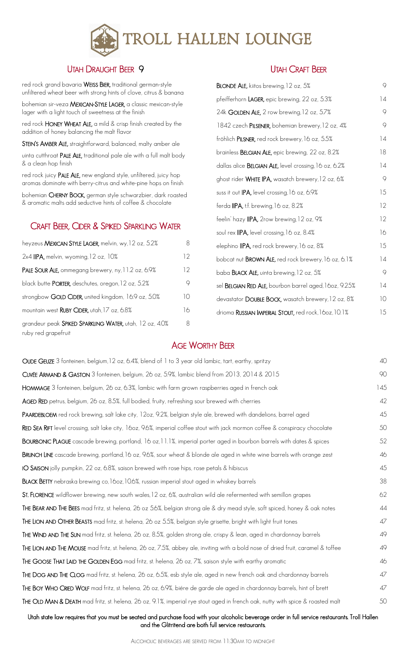

## UTAH DRAUGHT BEER 9

red rock grand bavaria WEISS BIER, traditional german-style unfiltered wheat beer with strong hints of clove, citrus & banana

bohemian sir-veza MEXICAN-STYLE LAGER, a classic mexican-style lager with a light touch of sweetness at the finish

red rock HONEY WHEAT ALE, a mild & crisp finish created by the addition of honey balancing the malt flavor

STEIN'S AMBER ALE, straightforward, balanced, malty amber ale

uinta cutthroat PALE ALE, traditional pale ale with a full malt body & a clean hop finish

red rock juicy PALE ALE, new england style, unfiltered, juicy hop aromas dominate with berry-citrus and white-pine hops on finish

bohemian CHERNY BOCK, german style schwarzbier, dark roasted & aromatic malts add seductive hints of coffee & chocolate

### CRAFT BEER, CIDER & SPIKED SPARKLING WATER

| heyzeus MEXICAN STYLE LAGER, melvin, wy, 12 oz, 5.2%                           | 8  |
|--------------------------------------------------------------------------------|----|
| 2x4 IIPA, melvin, wyoming, 12 oz, 10%                                          | 12 |
| PALE SOUR ALE, ommegang brewery, ny, 11.2 oz, 6.9%                             | 12 |
| black butte <b>PORTER</b> , deschutes, oregon, 12 oz, 5.2%                     | 9  |
| strongbow GOLD CIDER, united kingdom, 16.9 oz, 5.0%                            | 10 |
| mountain west RUBY CIDER, utah, 17 oz, 6.8%                                    | 16 |
| grandeur peak SPIKED SPARKLING WATER, utah, 12 oz, 4.0%<br>ruby red grapefruit | 8  |

#### UTAH CRAFT BEER

| BLONDE ALE, kiitos brewing, 12 oz, 5%                         | 9               |
|---------------------------------------------------------------|-----------------|
| pfeifferhorn LAGER, epic brewing, 22 oz, 5.3%                 | $\overline{14}$ |
| 24k GOLDEN ALE, 2 row brewing, 12 oz, 5.7%                    | 9               |
| 1842 czech PILSENER, bohemian brewery, 12 oz, 4%              | 9               |
| fröhlich PILSNER, red rock brewery, 16 oz, 5.5%               | 14              |
| brainless <b>BELGIAN ALE</b> , epic brewing, 22 oz, 8.2%      | 18              |
| dallas alice <b>BELGIAN ALE</b> , level crossing, 16 oz, 6.2% | 14              |
| ghost rider WHITE IPA, wasatch brewery, 12 oz, 6%             | 9               |
| suss it out IPA, level crossing, 16 oz, 6.9%                  | 15              |
| ferda <b>IIPA,</b> t.f. brewing, 16 oz, 8.2%                  | 12              |
| feelin' hazy IIPA, 2row brewing, 12 oz, 9%                    | 12              |
| soul rex IIPA, level crossing, 16 oz, 8.4%                    | 16              |
| elephino IIPA, red rock brewery, 16 oz, 8%                    | 15              |
| bobcat nut <b>BROWN ALE</b> , red rock brewery, 16 oz, 6.1%   | 14              |
| baba <b>BLACK ALE</b> , uinta brewing, 12 oz, 5%              | 9               |
| sel BELGIAN RED ALE, bourbon barrel aged, 160z, 9.25%         | 14              |
| devastator DOUBLE BOCK, wasatch brewery, 12 oz, 8%            | 10              |
| drioma RUSSIAN IMPERIAL STOUT, red rock, 160z, 10.1%          | 15              |

## AGE WORTHY BEER

| OUDE GEUZE 3 fonteinen, belgium, 12 oz, 6.4%, blend of 1 to 3 year old lambic, tart, earthy, spritzy                             | 40  |
|----------------------------------------------------------------------------------------------------------------------------------|-----|
| CUVÉE ARMAND & GASTON 3 fonteinen, belgium, 26 oz, 5.9%, lambic blend from 2013, 2014 & 2015                                     | 90  |
| HOMMAGE 3 fonteinen, belgium, 26 oz, 6.3%, lambic with farm grown raspberries aged in french oak                                 | 145 |
| AGED RED petrus, belgium, 26 oz, 8.5%, full bodied, fruity, refreshing sour brewed with cherries                                 | 42  |
| PAARDEBLOEM red rock brewing, salt lake city, 12oz, 9.2%, belgian style ale, brewed with dandelions, barrel aged                 | 45  |
| RED SEA RIFT level crossing, salt lake city, 160z, 9.6%, imperial coffee stout with jack mormon coffee & conspiracy chocolate    | 50  |
| <b>BOURBONIC PLAGUE</b> cascade brewing, portland, 16 oz, 11.1%, imperial porter aged in bourbon barrels with dates & spices     | 52  |
| BRUNCH LINE cascade brewing, portland, 16 oz, 9.6%, sour wheat & blonde ale aged in white wine barrels with orange zest          | 46  |
| IO SAISON jolly pumpkin, 22 oz, 6.8%, saison brewed with rose hips, rose petals & hibiscus                                       | 45  |
| <b>BLACK BETTY</b> nebraska brewing co, 16oz, 10.6%, russian imperial stout aged in whiskey barrels                              | 38  |
| ST. FLORENCE wildflower brewing, new south wales, 12 oz, 6%, australian wild ale refermented with semillon grapes                | 62  |
| THE BEAR AND THE BEES mad fritz, st. helena, 26 oz 5.6%, belgian strong ale & dry mead style, soft spiced, honey & oak notes     | 44  |
| THE LION AND OTHER BEASTS mad fritz, st. helena, 26 oz 5.5%, belgian style grisette, bright with light fruit tones               | 47  |
| THE WIND AND THE SUN mad fritz, st. helena, 26 oz, 8.5%, golden strong ale, crispy & lean, aged in chardonnay barrels            | 49  |
| THE LION AND THE MOUSE mad fritz, st. helena, 26 oz, 7.5%, abbey ale, inviting with a bold nose of dried fruit, caramel & toffee | 49  |
| THE GOOSE THAT LAID THE GOLDEN EGG mad fritz, st. helena, 26 oz, 7%, saison style with earthy aromatic                           | 46  |
| THE DOG AND THE CLOG mad fritz, st. helena, 26 oz, 6.5%, esb style ale, aged in new french oak and chardonnay barrels            | 47  |
| THE BOY WHO CRIED WOLF mad fritz, st. helena, 26 oz, 6.9%, biére de garde ale aged in chardonnay barrels, hint of brett          | 47  |
| THE OLD MAN & DEATH mad fritz, st. helena, 26 oz, 9.1%, imperial rye stout aged in french oak, nutty with spice & roasted malt   | 50  |
|                                                                                                                                  |     |

Utah state law requires that you must be seated and purchase food with your alcoholic beverage order in full service restaurants. Troll Hallen and the Glitritend are both full service restaurants.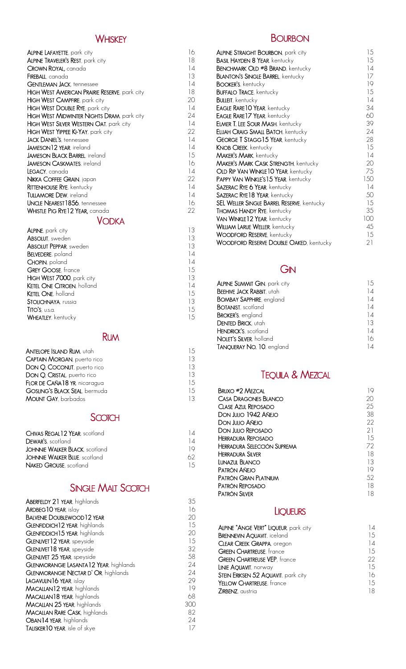| <b>ALPINE LAFAYETTE</b> , park city                  | 16              |
|------------------------------------------------------|-----------------|
| <b>ALPINE TRAVELER'S REST, park city</b>             | 18              |
| CROWN ROYAL, canada                                  | 14              |
| <b>FIREBALL</b> , canada                             | 13              |
| <b>GENTLEMAN JACK, tennessee</b>                     | 14              |
| <b>HIGH WEST AMERICAN PRAIRIE RESERVE, park city</b> | 18              |
| HIGH WEST CAMPFIRE, park city                        | 20              |
| HIGH WEST DOUBLE RYE, park city                      | $\frac{1}{4}$   |
| HIGH WEST MIDWINTER NIGHTS DRAM, park city           | 24              |
| <b>HIGH WEST SILVER WESTERN OAT, park city</b>       | 14              |
| <b>HIGH WEST YIPPEE KI-YAY</b> , park city           | 22              |
| <b>JACK DANIEL'S, tennessee</b>                      | 14              |
| <b>JAMESON 12 YEAR</b> , ireland                     | 14              |
| <b>JAMESON BLACK BARREL</b> , ireland                | 15              |
| <b>JAMESON CASKMATES</b> , ireland                   | 16              |
| <b>LEGACY</b> , canada                               | $\frac{1}{4}$   |
| <b>NIKKA COFFEE GRAIN</b> , japan                    | 22              |
| RITTENHOUSE RYE, kentucky                            | $\overline{14}$ |
| <b>TULLAMORE DEW, ireland</b>                        | $\frac{1}{4}$   |
| UNCLE NEAREST 1856, tennessee                        | 16.             |
| <b>WHISTLE PIG RYE12 YEAR, canada</b>                | 22.             |
| NN V N                                               |                 |

#### VODKA

|                               |     | <b>VAN WINKLETZ YEAR, ker</b>   |
|-------------------------------|-----|---------------------------------|
| <b>ALPINE</b> , park city     | 13  | WILLIAM LARUE WELLER, ke        |
| <b>ABSOLUT</b> , sweden       | 13  | <b>WOODFORD RESERVE, ket</b>    |
| <b>ABSOLUT PEPPAR, sweden</b> | 13  | <b>WOODFORD RESERVE DC</b>      |
| BELVEDERE, poland             | 14  |                                 |
| CHOPIN, poland                | 14  |                                 |
| <b>GREY GOOSE, france</b>     | 15  |                                 |
| HIGH WEST 7000, park city     | 13  |                                 |
| KETEL ONE CITROEN, holland    | 14  | <b>ALPINE SUMMIT GIN, par</b>   |
| <b>KETEL ONE</b> , holland    | 15  | <b>BEEHIVE JACK RABBIT, uta</b> |
| <b>STOLICHNAYA, russia</b>    | 13  | <b>BOMBAY SAPPHIRE, englo</b>   |
| TITO'S, u.s.a.                | 15  | <b>BOTANIST</b> , scotland      |
| <b>WHEATLEY, kentucky</b>     | 1.5 | <b>BROKER'S, england</b>        |

# RUM

| <b>ANTELOPE ISLAND RUM, utah</b>   | 15 |
|------------------------------------|----|
| <b>CAPTAIN MORGAN, puerto rico</b> | 13 |
| DON Q. COCONUT, puerto rico        | 13 |
| DON Q. CRISTAL, puerto rico        | 13 |
| FLOR DE CAÑA 18 YR, nicaragua      | 15 |
| GOSLING'S BLACK SEAL, bermuda      | 15 |
| <b>MOUNT GAY, barbados</b>         | 13 |

## **SCOTCH**

| CHIVAS REGAL 12 YEAR, scotland        | 14  |
|---------------------------------------|-----|
| <b>DEWAR'S</b> , scotland             | 14  |
| <b>JOHNNIE WALKER BLACK, scotland</b> | 19  |
| <b>JOHNNIE WALKER BLUE</b> , scotland | 62  |
| <b>NAKED GROUSE</b> , scotland        | 1.5 |
|                                       |     |

| ABERFELDY 21 YEAR, highlands           | 35  |
|----------------------------------------|-----|
| ARDBEG10 YEAR, islay                   | 16  |
| <b>BALVENIE DOUBLEWOOD 12 YEAR</b>     | 20  |
| GLENFIDDICH 12 YEAR, highlands         | 15  |
| GLENFIDDICH 15 YEAR, highlands         | 20  |
| GLENLIVET 12 YEAR, speyside            | 15  |
| GLENLIVET 18 YEAR, speyside            | 32  |
| <b>GLENLIVET 25 YEAR, speyside</b>     | 58  |
| GLENWORANGIE LASANTA12 YEAR, highlands | 24  |
| GLENMORANGIE NECTAR D'OR, highlands    | 24  |
| LAGAVULIN16 YEAR, islay                | 29  |
| MACALLAN12 YEAR, highlands             | 19  |
| MACALLAN18 YEAR, highlands             | 68  |
| <b>MACALLAN 25 YEAR, highlands</b>     | 300 |
| <b>MACALLAN RARE CASK, highlands</b>   | 82  |
| OBAN14 YEAR, highlands                 | 24  |
| TALISKER10 YEAR, isle of skye          | 17  |
|                                        |     |

### WHISKEY **BOURBON**

| <b>ALPINE STRAIGHT BOURBON</b> , park city     | 15  |
|------------------------------------------------|-----|
| <b>BASIL HAYDEN 8 YEAR, kentucky</b>           | 15  |
| <b>BENCHMARK OLD #8 BRAND, kentucky</b>        | 14  |
| <b>BLANTON'S SINGLE BARREL, kentucky</b>       | 17  |
| <b>BOOKER'S, kentucky</b>                      | 19  |
| <b>BUFFALO TRACE, kentucky</b>                 | 15  |
| <b>BULLEIT</b> , kentucky                      | 4   |
| EAGLE RARE 10 YEAR, kentucky                   | 34  |
| EAGLE RARE 17 YEAR, kentucky                   | 60  |
| <b>ELMER T. LEE SOUR MASH, kentucky</b>        | 39  |
| ELIJAH CRAIG SMALL BATCH, kentucky             | 24  |
| GEORGE T STAGG15 YEAR, kentucky                | 28  |
| <b>KNOB CREEK, kentucky</b>                    | 15  |
| <b>MAKER'S MARK, kentucky</b>                  | 4   |
| <b>MAKER'S MARK CASK STRENGTH, kentucky</b>    | 20  |
| OLD RIP VAN WINKLE 10 YEAR, kentucky           | 75  |
| PAPPY VAN WINKLE'S15 YEAR, kentucky            | 150 |
| SAZERAC RYE 6 YEAR, kentucky                   | 4   |
| SAZERAC RYE18 YEAR, kentucky                   | 50  |
| SEL WELLER SINGLE BARREL RESERVE, kentucky     | 15  |
| <b>THOMAS HANDY RYE, kentucky</b>              | 35  |
| VAN WINKLE12 YEAR, kentucky                    | 100 |
| WILLIAM LARUE WELLER, kentucky                 | 45  |
| <b>WOODFORD RESERVE, kentucky</b>              | 15  |
| <b>WOODFORD RESERVE DOUBLE OAKED, kentucky</b> | 21  |
|                                                |     |

| <b>ALPINE SUMMIT GIN, park city</b> | 1.5 |
|-------------------------------------|-----|
| BEEHIVE JACK RABBIT, utah           | 14  |
| <b>BOMBAY SAPPHIRE, england</b>     | 14  |
| <b>BOTANIST</b> , scotland          | 14  |
| <b>BROKER'S</b> , england           | 14  |
| <b>DENTED BRICK, utah</b>           | 13  |
| HENDRICK'S, scotland                | 14  |
| NOLET'S SILVER, holland             | 16  |
| TANQUERAY NO. 10, england           | 14  |

# TEQUILA & MEZCAL

| nce                       | 15 | GN                                   |           |
|---------------------------|----|--------------------------------------|-----------|
| , park city               | 13 |                                      |           |
| EN, holland               | 14 | <b>ALPINE SUMMIT GIN</b> , park city | 15        |
| ıd                        | 15 | <b>BEEHIVE JACK RABBIT, utah</b>     | 14        |
| sia                       | 13 | <b>BOMBAY SAPPHIRE, england</b>      | $\vert 4$ |
|                           | 15 | <b>BOTANIST</b> , scotland           | $\vert 4$ |
| ky                        | 15 | <b>BROKER'S, england</b>             | 14        |
|                           |    | DENTED BRICK, utah                   | 13        |
|                           |    | HENDRICK'S, scotland                 | 4         |
| <b>RUM</b>                |    | NOLET'S SILVER, holland              | 16        |
|                           |    | TANQUERAY NO. 10, england            | 14        |
| <b>RUM</b> . utah         | 15 |                                      |           |
| <b>V</b> , puerto rico    | 13 |                                      |           |
| JT, puerto rico           | 13 |                                      |           |
| puerto rico               | 13 | <b>TEQUILA &amp; MEZCAL</b>          |           |
| YR, nicaragua             | 15 |                                      |           |
| SEAL, bermuda             | 15 | <b>BRUXO #2 MEZCAL</b>               | 19        |
| bados                     | 13 | <b>CASA DRAGONES BLANCO</b>          | 20        |
|                           |    | <b>CLASE AZUL REPOSADO</b>           | 25        |
| SCOTCH                    |    | DON JULIO 1942 AÑEJO                 | 38        |
|                           |    | DON JULIO AÑEJO                      | 22        |
| <b>YEAR</b> . scotland    | 14 | <b>DON JULIO REPOSADO</b>            | 21        |
|                           | 14 | <b>HERRADURA REPOSADO</b>            | 15        |
| <b>BLACK</b> , scotland   | 19 | <b>HERRADURA SELECCIÓN SUPREMA</b>   | 72        |
| <b>BLUE</b> , scotland    | 62 | <b>HERRADURA SILVER</b>              | 18        |
| cotland                   | 15 | <b>LUNAZUL BLANCO</b>                | 13        |
|                           |    | PATRÓN AÑEJO                         | 9         |
|                           |    | PATRÓN GRAN PLATNIUM                 | 52        |
| <b>SINGLE MALT SCOTCH</b> |    | PATRÓN REPOSADO                      | 18        |
|                           |    | <b>PATRÓN SILVER</b>                 | 18        |
|                           |    |                                      |           |

# **LIQUEURS**

| ALPINE "ANGE VERT" LIQUEUR, park city | 14 |
|---------------------------------------|----|
| <b>BRENNEVIN AQUAVIT, iceland</b>     | 15 |
| <b>CLEAR CREEK GRAPPA, oregon</b>     | 14 |
| <b>GREEN CHARTREUSE, france</b>       | 15 |
| <b>GREEN CHARTREUSE VEP, france</b>   | 22 |
| LINIE AQUAVIT, norway                 | 15 |
| STEIN ERIKSEN 52 AQUAVIT, park city   | 16 |
| YELLOW CHARTREUSE, france             | 15 |
| ZIRBENZ, austria                      | 18 |